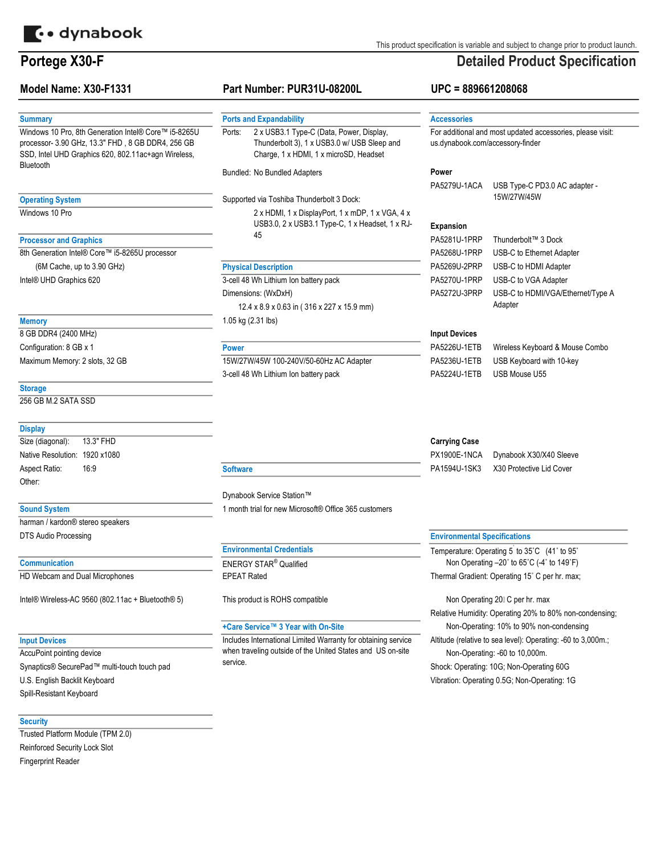

# Portege X30-F

# Model Name: X30-F1331

## **Summary**

Windows 10 Pro, 8th Generation Intel® Core™ i5-8265U processor- 3.90 GHz, 13.3" FHD , 8 GB DDR4, 256 GB SSD, Intel UHD Graphics 620, 802.11ac+agn Wireless, Bluetooth

## Operating System

Windows 10 Pro

# Processor and Graphics

8th Generation Intel® Core™ i5-8265U processor Intel® UHD Graphics 620 (6M Cache, up to 3.90 GHz)

# **Memory**

Maximum Memory: 2 slots, 32 GB 8 GB DDR4 (2400 MHz) Configuration: 8 GB x 1

#### **Storage**

256 GB M.2 SATA SSD

# **Display**

Size (diagonal): Native Resolution: 1920 x1080 Aspect Ratio: Other: 13.3" FHD 16:9

#### Sound System

harman / kardon® stereo speakers DTS Audio Processing

#### **Communication**

HD Webcam and Dual Microphones

Intel® Wireless-AC 9560 (802.11ac + Bluetooth® 5) This product is ROHS compatible

## Input Devices

Spill-Resistant Keyboard U.S. English Backlit Keyboard Synaptics® SecurePad™ multi-touch touch pad AccuPoint pointing device

## **Security**

Trusted Platform Module (TPM 2.0) Reinforced Security Lock Slot Fingerprint Reader

# Part Number: PUR31U-08200L

#### Ports and Expandability

2 x USB3.1 Type-C (Data, Power, Display, Thunderbolt 3), 1 x USB3.0 w/ USB Sleep and Charge, 1 x HDMI, 1 x microSD, Headset Ports:

#### Bundled: No Bundled Adapters

Supported via Toshiba Thunderbolt 3 Dock:

2 x HDMI, 1 x DisplayPort, 1 x mDP, 1 x VGA, 4 x USB3.0, 2 x USB3.1 Type-C, 1 x Headset, 1 x RJ-45

# Physical Description

3-cell 48 Wh Lithium Ion battery pack Dimensions: (WxDxH) 1.05 kg (2.31 lbs) 12.4 x 8.9 x 0.63 in ( 316 x 227 x 15.9 mm)

### Power

15W/27W/45W 100-240V/50-60Hz AC Adapter 3-cell 48 Wh Lithium Ion battery pack

# Carrying Case

| PX1900E-1NCA |  |
|--------------|--|
| PA1594U-1SK3 |  |

X30 Protective Lid Cover Dynabook X30/X40 Sleeve

# **Software**

Dynabook Service Station™ 1 month trial for new Microsoft® Office 365 customers

# Environmental Credentials

ENERGY STAR® Qualified EPEAT Rated

### +Care Service™ 3 Year with On-Site

Includes International Limited Warranty for obtaining service when traveling outside of the United States and US on-site service.

### Environmental Specifications

Non Operating –20˚ to 65˚C (-4˚ to 149˚F) Thermal Gradient: Operating 15˚ C per hr. max; Temperature: Operating 5 to 35°C (41° to 95°

Non-Operating: -60 to 10,000m. Altitude (relative to sea level): Operating: -60 to 3,000m.; Relative Humidity: Operating 20% to 80% non-condensing; Non-Operating: 10% to 90% non-condensing Non Operating 20 C per hr. max

Shock: Operating: 10G; Non-Operating 60G

Vibration: Operating 0.5G; Non-Operating: 1G

This product specification is variable and subject to change prior to product launch.

# Detailed Product Specification

## UPC = 889661208068

| <b>Accessories</b>                                         |                                   |  |  |  |
|------------------------------------------------------------|-----------------------------------|--|--|--|
| For additional and most updated accessories, please visit: |                                   |  |  |  |
| us.dynabook.com/accessory-finder                           |                                   |  |  |  |
|                                                            |                                   |  |  |  |
| Power                                                      |                                   |  |  |  |
| PA5279U-1ACA                                               | USB Type-C PD3.0 AC adapter -     |  |  |  |
|                                                            | 15W/27W/45W                       |  |  |  |
|                                                            |                                   |  |  |  |
| <b>Expansion</b>                                           |                                   |  |  |  |
| PA5281U-1PRP                                               | Thunderbolt™ 3 Dock               |  |  |  |
| PA5268U-1PRP                                               | USB-C to Ethernet Adapter         |  |  |  |
| PA5269U-2PRP                                               | USB-C to HDMI Adapter             |  |  |  |
| PA5270U-1PRP                                               | USB-C to VGA Adapter              |  |  |  |
| PA5272U-3PRP                                               | USB-C to HDMI/VGA/Ethernet/Type A |  |  |  |
|                                                            | Adapter                           |  |  |  |
|                                                            |                                   |  |  |  |
|                                                            |                                   |  |  |  |

# Input Devices

PA5226U-1ETB Wireless Keyboard & Mouse Combo PA5236U-1ETB USB Keyboard with 10-key PA5224U-1ETB USB Mouse U55